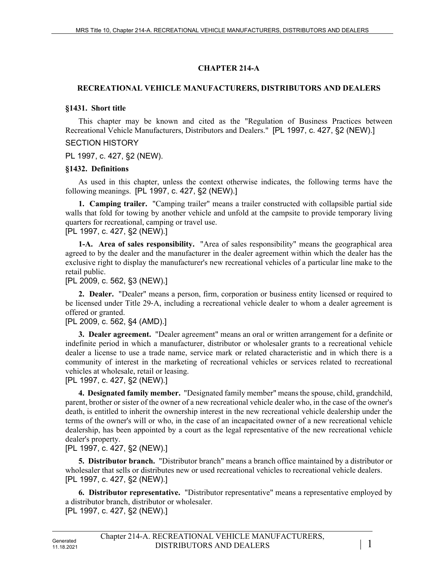### **CHAPTER 214-A**

### **RECREATIONAL VEHICLE MANUFACTURERS, DISTRIBUTORS AND DEALERS**

#### **§1431. Short title**

This chapter may be known and cited as the "Regulation of Business Practices between Recreational Vehicle Manufacturers, Distributors and Dealers." [PL 1997, c. 427, §2 (NEW).]

### SECTION HISTORY

PL 1997, c. 427, §2 (NEW).

#### **§1432. Definitions**

As used in this chapter, unless the context otherwise indicates, the following terms have the following meanings. [PL 1997, c. 427, §2 (NEW).]

**1. Camping trailer.** "Camping trailer" means a trailer constructed with collapsible partial side walls that fold for towing by another vehicle and unfold at the campsite to provide temporary living quarters for recreational, camping or travel use.

[PL 1997, c. 427, §2 (NEW).]

**1-A. Area of sales responsibility.** "Area of sales responsibility" means the geographical area agreed to by the dealer and the manufacturer in the dealer agreement within which the dealer has the exclusive right to display the manufacturer's new recreational vehicles of a particular line make to the retail public.

#### [PL 2009, c. 562, §3 (NEW).]

**2. Dealer.** "Dealer" means a person, firm, corporation or business entity licensed or required to be licensed under Title 29–A, including a recreational vehicle dealer to whom a dealer agreement is offered or granted.

#### [PL 2009, c. 562, §4 (AMD).]

**3. Dealer agreement.** "Dealer agreement" means an oral or written arrangement for a definite or indefinite period in which a manufacturer, distributor or wholesaler grants to a recreational vehicle dealer a license to use a trade name, service mark or related characteristic and in which there is a community of interest in the marketing of recreational vehicles or services related to recreational vehicles at wholesale, retail or leasing.

#### [PL 1997, c. 427, §2 (NEW).]

**4. Designated family member.** "Designated family member" means the spouse, child, grandchild, parent, brother or sister of the owner of a new recreational vehicle dealer who, in the case of the owner's death, is entitled to inherit the ownership interest in the new recreational vehicle dealership under the terms of the owner's will or who, in the case of an incapacitated owner of a new recreational vehicle dealership, has been appointed by a court as the legal representative of the new recreational vehicle dealer's property.

## [PL 1997, c. 427, §2 (NEW).]

**5. Distributor branch.** "Distributor branch" means a branch office maintained by a distributor or wholesaler that sells or distributes new or used recreational vehicles to recreational vehicle dealers. [PL 1997, c. 427, §2 (NEW).]

**6. Distributor representative.** "Distributor representative" means a representative employed by a distributor branch, distributor or wholesaler. [PL 1997, c. 427, §2 (NEW).]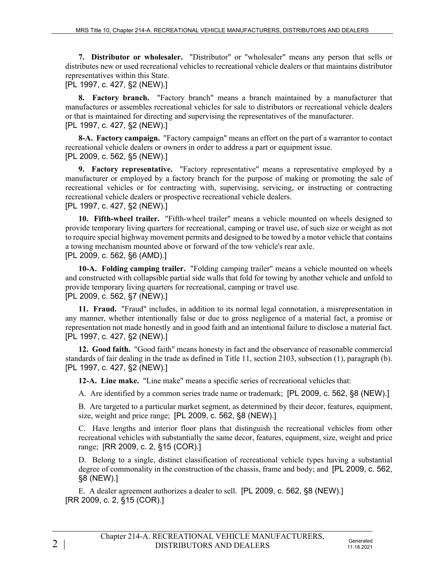**7. Distributor or wholesaler.** "Distributor" or "wholesaler" means any person that sells or distributes new or used recreational vehicles to recreational vehicle dealers or that maintains distributor representatives within this State.

[PL 1997, c. 427, §2 (NEW).]

**8. Factory branch.** "Factory branch" means a branch maintained by a manufacturer that manufactures or assembles recreational vehicles for sale to distributors or recreational vehicle dealers or that is maintained for directing and supervising the representatives of the manufacturer. [PL 1997, c. 427, §2 (NEW).]

**8-A. Factory campaign.** "Factory campaign" means an effort on the part of a warrantor to contact recreational vehicle dealers or owners in order to address a part or equipment issue. [PL 2009, c. 562, §5 (NEW).]

**9. Factory representative.** "Factory representative" means a representative employed by a manufacturer or employed by a factory branch for the purpose of making or promoting the sale of recreational vehicles or for contracting with, supervising, servicing, or instructing or contracting recreational vehicle dealers or prospective recreational vehicle dealers. [PL 1997, c. 427, §2 (NEW).]

**10. Fifth-wheel trailer.** "Fifth-wheel trailer" means a vehicle mounted on wheels designed to provide temporary living quarters for recreational, camping or travel use, of such size or weight as not to require special highway movement permits and designed to be towed by a motor vehicle that contains a towing mechanism mounted above or forward of the tow vehicle's rear axle. [PL 2009, c. 562, §6 (AMD).]

**10-A. Folding camping trailer.** "Folding camping trailer" means a vehicle mounted on wheels and constructed with collapsible partial side walls that fold for towing by another vehicle and unfold to provide temporary living quarters for recreational, camping or travel use. [PL 2009, c. 562, §7 (NEW).]

**11. Fraud.** "Fraud" includes, in addition to its normal legal connotation, a misrepresentation in any manner, whether intentionally false or due to gross negligence of a material fact, a promise or representation not made honestly and in good faith and an intentional failure to disclose a material fact. [PL 1997, c. 427, §2 (NEW).]

**12. Good faith.** "Good faith" means honesty in fact and the observance of reasonable commercial standards of fair dealing in the trade as defined in Title 11, section 2103, subsection (1), paragraph (b). [PL 1997, c. 427, §2 (NEW).]

**12-A. Line make.** "Line make" means a specific series of recreational vehicles that:

A. Are identified by a common series trade name or trademark; [PL 2009, c. 562, §8 (NEW).]

B. Are targeted to a particular market segment, as determined by their decor, features, equipment, size, weight and price range; [PL 2009, c. 562, §8 (NEW).]

C. Have lengths and interior floor plans that distinguish the recreational vehicles from other recreational vehicles with substantially the same decor, features, equipment, size, weight and price range; [RR 2009, c. 2, §15 (COR).]

D. Belong to a single, distinct classification of recreational vehicle types having a substantial degree of commonality in the construction of the chassis, frame and body; and [PL 2009, c. 562, §8 (NEW).]

E. A dealer agreement authorizes a dealer to sell. [PL 2009, c. 562, §8 (NEW).] [RR 2009, c. 2, §15 (COR).]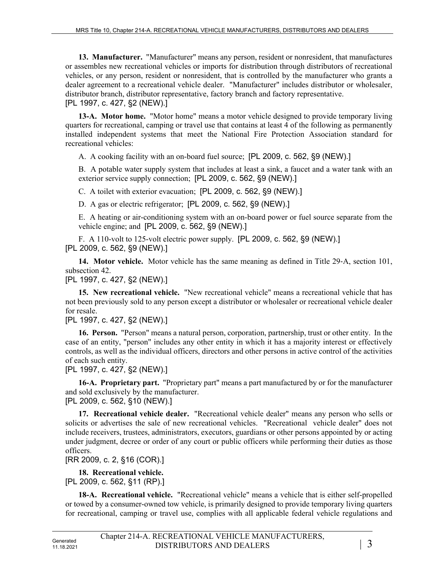**13. Manufacturer.** "Manufacturer" means any person, resident or nonresident, that manufactures or assembles new recreational vehicles or imports for distribution through distributors of recreational vehicles, or any person, resident or nonresident, that is controlled by the manufacturer who grants a dealer agreement to a recreational vehicle dealer. "Manufacturer" includes distributor or wholesaler, distributor branch, distributor representative, factory branch and factory representative. [PL 1997, c. 427, §2 (NEW).]

**13-A. Motor home.** "Motor home" means a motor vehicle designed to provide temporary living quarters for recreational, camping or travel use that contains at least 4 of the following as permanently installed independent systems that meet the National Fire Protection Association standard for recreational vehicles:

A. A cooking facility with an on-board fuel source; [PL 2009, c. 562, §9 (NEW).]

B. A potable water supply system that includes at least a sink, a faucet and a water tank with an exterior service supply connection; [PL 2009, c. 562, §9 (NEW).]

C. A toilet with exterior evacuation; [PL 2009, c. 562, §9 (NEW).]

D. A gas or electric refrigerator; [PL 2009, c. 562, §9 (NEW).]

E. A heating or air-conditioning system with an on-board power or fuel source separate from the vehicle engine; and [PL 2009, c. 562, §9 (NEW).]

F. A 110-volt to 125-volt electric power supply. [PL 2009, c. 562, §9 (NEW).] [PL 2009, c. 562, §9 (NEW).]

**14. Motor vehicle.** Motor vehicle has the same meaning as defined in Title 29‑A, section 101, subsection 42.

[PL 1997, c. 427, §2 (NEW).]

**15. New recreational vehicle.** "New recreational vehicle" means a recreational vehicle that has not been previously sold to any person except a distributor or wholesaler or recreational vehicle dealer for resale.

[PL 1997, c. 427, §2 (NEW).]

**16. Person.** "Person" means a natural person, corporation, partnership, trust or other entity. In the case of an entity, "person" includes any other entity in which it has a majority interest or effectively controls, as well as the individual officers, directors and other persons in active control of the activities of each such entity.

[PL 1997, c. 427, §2 (NEW).]

**16-A. Proprietary part.** "Proprietary part" means a part manufactured by or for the manufacturer and sold exclusively by the manufacturer.

[PL 2009, c. 562, §10 (NEW).]

**17. Recreational vehicle dealer.** "Recreational vehicle dealer" means any person who sells or solicits or advertises the sale of new recreational vehicles. "Recreational vehicle dealer" does not include receivers, trustees, administrators, executors, guardians or other persons appointed by or acting under judgment, decree or order of any court or public officers while performing their duties as those officers.

[RR 2009, c. 2, §16 (COR).]

**18. Recreational vehicle.** 

[PL 2009, c. 562, §11 (RP).]

**18-A. Recreational vehicle.** "Recreational vehicle" means a vehicle that is either self-propelled or towed by a consumer-owned tow vehicle, is primarily designed to provide temporary living quarters for recreational, camping or travel use, complies with all applicable federal vehicle regulations and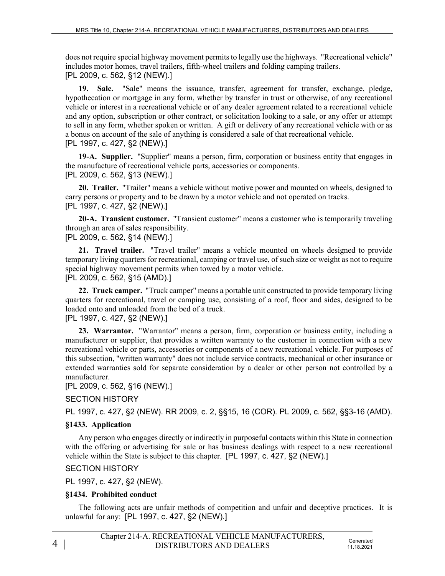does not require special highway movement permits to legally use the highways. "Recreational vehicle" includes motor homes, travel trailers, fifth-wheel trailers and folding camping trailers. [PL 2009, c. 562, §12 (NEW).]

**19. Sale.** "Sale" means the issuance, transfer, agreement for transfer, exchange, pledge, hypothecation or mortgage in any form, whether by transfer in trust or otherwise, of any recreational vehicle or interest in a recreational vehicle or of any dealer agreement related to a recreational vehicle and any option, subscription or other contract, or solicitation looking to a sale, or any offer or attempt to sell in any form, whether spoken or written. A gift or delivery of any recreational vehicle with or as a bonus on account of the sale of anything is considered a sale of that recreational vehicle. [PL 1997, c. 427, §2 (NEW).]

**19-A. Supplier.** "Supplier" means a person, firm, corporation or business entity that engages in the manufacture of recreational vehicle parts, accessories or components. [PL 2009, c. 562, §13 (NEW).]

**20. Trailer.** "Trailer" means a vehicle without motive power and mounted on wheels, designed to carry persons or property and to be drawn by a motor vehicle and not operated on tracks. [PL 1997, c. 427, §2 (NEW).]

**20-A. Transient customer.** "Transient customer" means a customer who is temporarily traveling through an area of sales responsibility.

[PL 2009, c. 562, §14 (NEW).]

**21. Travel trailer.** "Travel trailer" means a vehicle mounted on wheels designed to provide temporary living quarters for recreational, camping or travel use, of such size or weight as not to require special highway movement permits when towed by a motor vehicle. [PL 2009, c. 562, §15 (AMD).]

**22. Truck camper.** "Truck camper" means a portable unit constructed to provide temporary living quarters for recreational, travel or camping use, consisting of a roof, floor and sides, designed to be loaded onto and unloaded from the bed of a truck.

[PL 1997, c. 427, §2 (NEW).]

**23. Warrantor.** "Warrantor" means a person, firm, corporation or business entity, including a manufacturer or supplier, that provides a written warranty to the customer in connection with a new recreational vehicle or parts, accessories or components of a new recreational vehicle. For purposes of this subsection, "written warranty" does not include service contracts, mechanical or other insurance or extended warranties sold for separate consideration by a dealer or other person not controlled by a manufacturer.

[PL 2009, c. 562, §16 (NEW).]

SECTION HISTORY

PL 1997, c. 427, §2 (NEW). RR 2009, c. 2, §§15, 16 (COR). PL 2009, c. 562, §§3-16 (AMD).

#### **§1433. Application**

Any person who engages directly or indirectly in purposeful contacts within this State in connection with the offering or advertising for sale or has business dealings with respect to a new recreational vehicle within the State is subject to this chapter. [PL 1997, c. 427, §2 (NEW).]

SECTION HISTORY

PL 1997, c. 427, §2 (NEW).

## **§1434. Prohibited conduct**

The following acts are unfair methods of competition and unfair and deceptive practices. It is unlawful for any: [PL 1997, c. 427, §2 (NEW).]

11.18.2021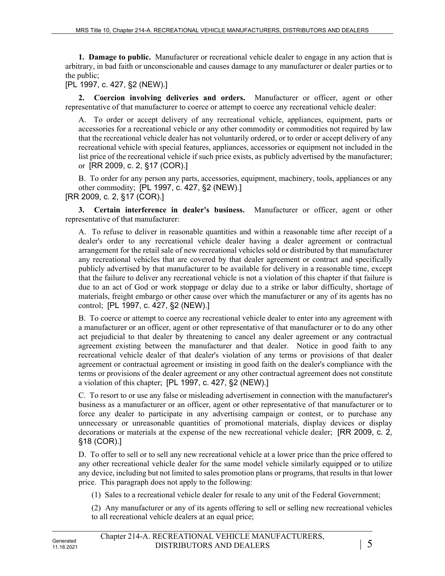**1. Damage to public.** Manufacturer or recreational vehicle dealer to engage in any action that is arbitrary, in bad faith or unconscionable and causes damage to any manufacturer or dealer parties or to the public;

[PL 1997, c. 427, §2 (NEW).]

**2. Coercion involving deliveries and orders.** Manufacturer or officer, agent or other representative of that manufacturer to coerce or attempt to coerce any recreational vehicle dealer:

A. To order or accept delivery of any recreational vehicle, appliances, equipment, parts or accessories for a recreational vehicle or any other commodity or commodities not required by law that the recreational vehicle dealer has not voluntarily ordered, or to order or accept delivery of any recreational vehicle with special features, appliances, accessories or equipment not included in the list price of the recreational vehicle if such price exists, as publicly advertised by the manufacturer; or [RR 2009, c. 2, §17 (COR).]

B. To order for any person any parts, accessories, equipment, machinery, tools, appliances or any other commodity; [PL 1997, c. 427, §2 (NEW).]

[RR 2009, c. 2, §17 (COR).]

**3. Certain interference in dealer's business.** Manufacturer or officer, agent or other representative of that manufacturer:

A. To refuse to deliver in reasonable quantities and within a reasonable time after receipt of a dealer's order to any recreational vehicle dealer having a dealer agreement or contractual arrangement for the retail sale of new recreational vehicles sold or distributed by that manufacturer any recreational vehicles that are covered by that dealer agreement or contract and specifically publicly advertised by that manufacturer to be available for delivery in a reasonable time, except that the failure to deliver any recreational vehicle is not a violation of this chapter if that failure is due to an act of God or work stoppage or delay due to a strike or labor difficulty, shortage of materials, freight embargo or other cause over which the manufacturer or any of its agents has no control; [PL 1997, c. 427, §2 (NEW).]

B. To coerce or attempt to coerce any recreational vehicle dealer to enter into any agreement with a manufacturer or an officer, agent or other representative of that manufacturer or to do any other act prejudicial to that dealer by threatening to cancel any dealer agreement or any contractual agreement existing between the manufacturer and that dealer. Notice in good faith to any recreational vehicle dealer of that dealer's violation of any terms or provisions of that dealer agreement or contractual agreement or insisting in good faith on the dealer's compliance with the terms or provisions of the dealer agreement or any other contractual agreement does not constitute a violation of this chapter; [PL 1997, c. 427, §2 (NEW).]

C. To resort to or use any false or misleading advertisement in connection with the manufacturer's business as a manufacturer or an officer, agent or other representative of that manufacturer or to force any dealer to participate in any advertising campaign or contest, or to purchase any unnecessary or unreasonable quantities of promotional materials, display devices or display decorations or materials at the expense of the new recreational vehicle dealer; [RR 2009, c. 2, §18 (COR).]

D. To offer to sell or to sell any new recreational vehicle at a lower price than the price offered to any other recreational vehicle dealer for the same model vehicle similarly equipped or to utilize any device, including but not limited to sales promotion plans or programs, that results in that lower price. This paragraph does not apply to the following:

(1) Sales to a recreational vehicle dealer for resale to any unit of the Federal Government;

(2) Any manufacturer or any of its agents offering to sell or selling new recreational vehicles to all recreational vehicle dealers at an equal price;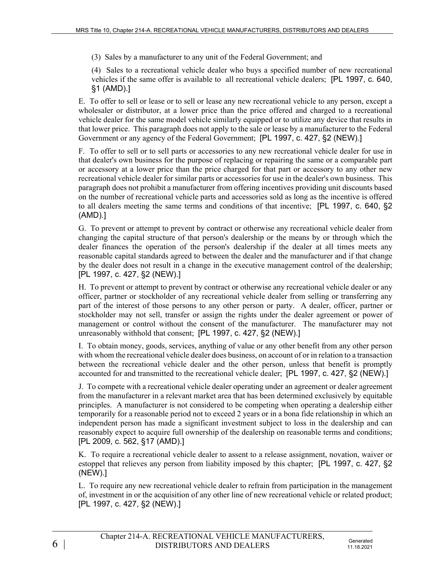(3) Sales by a manufacturer to any unit of the Federal Government; and

(4) Sales to a recreational vehicle dealer who buys a specified number of new recreational vehicles if the same offer is available to all recreational vehicle dealers; [PL 1997, c. 640, §1 (AMD).]

E. To offer to sell or lease or to sell or lease any new recreational vehicle to any person, except a wholesaler or distributor, at a lower price than the price offered and charged to a recreational vehicle dealer for the same model vehicle similarly equipped or to utilize any device that results in that lower price. This paragraph does not apply to the sale or lease by a manufacturer to the Federal Government or any agency of the Federal Government; [PL 1997, c. 427, §2 (NEW).]

F. To offer to sell or to sell parts or accessories to any new recreational vehicle dealer for use in that dealer's own business for the purpose of replacing or repairing the same or a comparable part or accessory at a lower price than the price charged for that part or accessory to any other new recreational vehicle dealer for similar parts or accessories for use in the dealer's own business. This paragraph does not prohibit a manufacturer from offering incentives providing unit discounts based on the number of recreational vehicle parts and accessories sold as long as the incentive is offered to all dealers meeting the same terms and conditions of that incentive; [PL 1997, c. 640, §2 (AMD).]

G. To prevent or attempt to prevent by contract or otherwise any recreational vehicle dealer from changing the capital structure of that person's dealership or the means by or through which the dealer finances the operation of the person's dealership if the dealer at all times meets any reasonable capital standards agreed to between the dealer and the manufacturer and if that change by the dealer does not result in a change in the executive management control of the dealership; [PL 1997, c. 427, §2 (NEW).]

H. To prevent or attempt to prevent by contract or otherwise any recreational vehicle dealer or any officer, partner or stockholder of any recreational vehicle dealer from selling or transferring any part of the interest of those persons to any other person or party. A dealer, officer, partner or stockholder may not sell, transfer or assign the rights under the dealer agreement or power of management or control without the consent of the manufacturer. The manufacturer may not unreasonably withhold that consent; [PL 1997, c. 427, §2 (NEW).]

I. To obtain money, goods, services, anything of value or any other benefit from any other person with whom the recreational vehicle dealer does business, on account of or in relation to a transaction between the recreational vehicle dealer and the other person, unless that benefit is promptly accounted for and transmitted to the recreational vehicle dealer; [PL 1997, c. 427, §2 (NEW).]

J. To compete with a recreational vehicle dealer operating under an agreement or dealer agreement from the manufacturer in a relevant market area that has been determined exclusively by equitable principles. A manufacturer is not considered to be competing when operating a dealership either temporarily for a reasonable period not to exceed 2 years or in a bona fide relationship in which an independent person has made a significant investment subject to loss in the dealership and can reasonably expect to acquire full ownership of the dealership on reasonable terms and conditions; [PL 2009, c. 562, §17 (AMD).]

K. To require a recreational vehicle dealer to assent to a release assignment, novation, waiver or estoppel that relieves any person from liability imposed by this chapter; [PL 1997, c. 427, §2 (NEW).]

L. To require any new recreational vehicle dealer to refrain from participation in the management of, investment in or the acquisition of any other line of new recreational vehicle or related product; [PL 1997, c. 427, §2 (NEW).]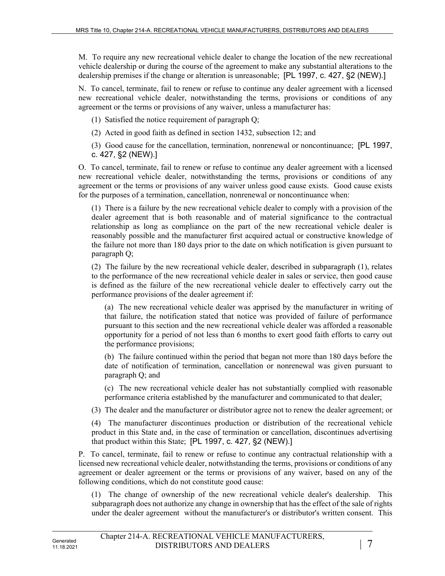M. To require any new recreational vehicle dealer to change the location of the new recreational vehicle dealership or during the course of the agreement to make any substantial alterations to the dealership premises if the change or alteration is unreasonable; [PL 1997, c. 427, §2 (NEW).]

N. To cancel, terminate, fail to renew or refuse to continue any dealer agreement with a licensed new recreational vehicle dealer, notwithstanding the terms, provisions or conditions of any agreement or the terms or provisions of any waiver, unless a manufacturer has:

(1) Satisfied the notice requirement of paragraph Q;

(2) Acted in good faith as defined in section 1432, subsection 12; and

(3) Good cause for the cancellation, termination, nonrenewal or noncontinuance; [PL 1997, c. 427, §2 (NEW).]

O. To cancel, terminate, fail to renew or refuse to continue any dealer agreement with a licensed new recreational vehicle dealer, notwithstanding the terms, provisions or conditions of any agreement or the terms or provisions of any waiver unless good cause exists. Good cause exists for the purposes of a termination, cancellation, nonrenewal or noncontinuance when:

(1) There is a failure by the new recreational vehicle dealer to comply with a provision of the dealer agreement that is both reasonable and of material significance to the contractual relationship as long as compliance on the part of the new recreational vehicle dealer is reasonably possible and the manufacturer first acquired actual or constructive knowledge of the failure not more than 180 days prior to the date on which notification is given pursuant to paragraph Q;

(2) The failure by the new recreational vehicle dealer, described in subparagraph (1), relates to the performance of the new recreational vehicle dealer in sales or service, then good cause is defined as the failure of the new recreational vehicle dealer to effectively carry out the performance provisions of the dealer agreement if:

(a) The new recreational vehicle dealer was apprised by the manufacturer in writing of that failure, the notification stated that notice was provided of failure of performance pursuant to this section and the new recreational vehicle dealer was afforded a reasonable opportunity for a period of not less than 6 months to exert good faith efforts to carry out the performance provisions;

(b) The failure continued within the period that began not more than 180 days before the date of notification of termination, cancellation or nonrenewal was given pursuant to paragraph Q; and

(c) The new recreational vehicle dealer has not substantially complied with reasonable performance criteria established by the manufacturer and communicated to that dealer;

(3) The dealer and the manufacturer or distributor agree not to renew the dealer agreement; or

(4) The manufacturer discontinues production or distribution of the recreational vehicle product in this State and, in the case of termination or cancellation, discontinues advertising that product within this State; [PL 1997, c. 427, §2 (NEW).]

P. To cancel, terminate, fail to renew or refuse to continue any contractual relationship with a licensed new recreational vehicle dealer, notwithstanding the terms, provisions or conditions of any agreement or dealer agreement or the terms or provisions of any waiver, based on any of the following conditions, which do not constitute good cause:

(1) The change of ownership of the new recreational vehicle dealer's dealership. This subparagraph does not authorize any change in ownership that has the effect of the sale of rights under the dealer agreement without the manufacturer's or distributor's written consent. This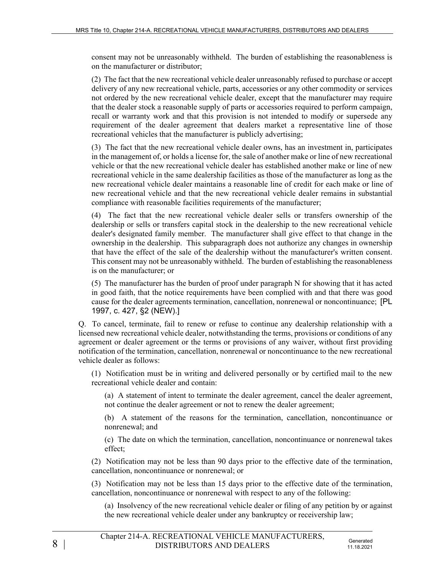consent may not be unreasonably withheld. The burden of establishing the reasonableness is on the manufacturer or distributor;

(2) The fact that the new recreational vehicle dealer unreasonably refused to purchase or accept delivery of any new recreational vehicle, parts, accessories or any other commodity or services not ordered by the new recreational vehicle dealer, except that the manufacturer may require that the dealer stock a reasonable supply of parts or accessories required to perform campaign, recall or warranty work and that this provision is not intended to modify or supersede any requirement of the dealer agreement that dealers market a representative line of those recreational vehicles that the manufacturer is publicly advertising;

(3) The fact that the new recreational vehicle dealer owns, has an investment in, participates in the management of, or holds a license for, the sale of another make or line of new recreational vehicle or that the new recreational vehicle dealer has established another make or line of new recreational vehicle in the same dealership facilities as those of the manufacturer as long as the new recreational vehicle dealer maintains a reasonable line of credit for each make or line of new recreational vehicle and that the new recreational vehicle dealer remains in substantial compliance with reasonable facilities requirements of the manufacturer;

(4) The fact that the new recreational vehicle dealer sells or transfers ownership of the dealership or sells or transfers capital stock in the dealership to the new recreational vehicle dealer's designated family member. The manufacturer shall give effect to that change in the ownership in the dealership. This subparagraph does not authorize any changes in ownership that have the effect of the sale of the dealership without the manufacturer's written consent. This consent may not be unreasonably withheld. The burden of establishing the reasonableness is on the manufacturer; or

(5) The manufacturer has the burden of proof under paragraph N for showing that it has acted in good faith, that the notice requirements have been complied with and that there was good cause for the dealer agreements termination, cancellation, nonrenewal or noncontinuance; [PL 1997, c. 427, §2 (NEW).]

Q. To cancel, terminate, fail to renew or refuse to continue any dealership relationship with a licensed new recreational vehicle dealer, notwithstanding the terms, provisions or conditions of any agreement or dealer agreement or the terms or provisions of any waiver, without first providing notification of the termination, cancellation, nonrenewal or noncontinuance to the new recreational vehicle dealer as follows:

(1) Notification must be in writing and delivered personally or by certified mail to the new recreational vehicle dealer and contain:

(a) A statement of intent to terminate the dealer agreement, cancel the dealer agreement, not continue the dealer agreement or not to renew the dealer agreement;

(b) A statement of the reasons for the termination, cancellation, noncontinuance or nonrenewal; and

(c) The date on which the termination, cancellation, noncontinuance or nonrenewal takes effect;

(2) Notification may not be less than 90 days prior to the effective date of the termination, cancellation, noncontinuance or nonrenewal; or

(3) Notification may not be less than 15 days prior to the effective date of the termination, cancellation, noncontinuance or nonrenewal with respect to any of the following:

(a) Insolvency of the new recreational vehicle dealer or filing of any petition by or against the new recreational vehicle dealer under any bankruptcy or receivership law;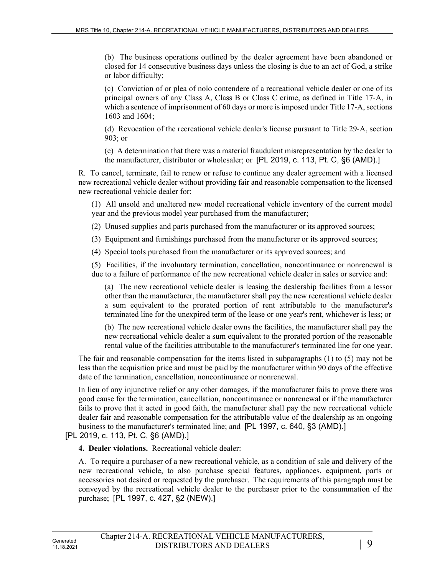(b) The business operations outlined by the dealer agreement have been abandoned or closed for 14 consecutive business days unless the closing is due to an act of God, a strike or labor difficulty;

(c) Conviction of or plea of nolo contendere of a recreational vehicle dealer or one of its principal owners of any Class A, Class B or Class C crime, as defined in Title 17‑A, in which a sentence of imprisonment of 60 days or more is imposed under Title 17–A, sections 1603 and 1604;

(d) Revocation of the recreational vehicle dealer's license pursuant to Title 29‑A, section 903; or

(e) A determination that there was a material fraudulent misrepresentation by the dealer to the manufacturer, distributor or wholesaler; or [PL 2019, c. 113, Pt. C, §6 (AMD).]

R. To cancel, terminate, fail to renew or refuse to continue any dealer agreement with a licensed new recreational vehicle dealer without providing fair and reasonable compensation to the licensed new recreational vehicle dealer for:

(1) All unsold and unaltered new model recreational vehicle inventory of the current model year and the previous model year purchased from the manufacturer;

(2) Unused supplies and parts purchased from the manufacturer or its approved sources;

(3) Equipment and furnishings purchased from the manufacturer or its approved sources;

(4) Special tools purchased from the manufacturer or its approved sources; and

(5) Facilities, if the involuntary termination, cancellation, noncontinuance or nonrenewal is due to a failure of performance of the new recreational vehicle dealer in sales or service and:

(a) The new recreational vehicle dealer is leasing the dealership facilities from a lessor other than the manufacturer, the manufacturer shall pay the new recreational vehicle dealer a sum equivalent to the prorated portion of rent attributable to the manufacturer's terminated line for the unexpired term of the lease or one year's rent, whichever is less; or

(b) The new recreational vehicle dealer owns the facilities, the manufacturer shall pay the new recreational vehicle dealer a sum equivalent to the prorated portion of the reasonable rental value of the facilities attributable to the manufacturer's terminated line for one year.

The fair and reasonable compensation for the items listed in subparagraphs (1) to (5) may not be less than the acquisition price and must be paid by the manufacturer within 90 days of the effective date of the termination, cancellation, noncontinuance or nonrenewal.

In lieu of any injunctive relief or any other damages, if the manufacturer fails to prove there was good cause for the termination, cancellation, noncontinuance or nonrenewal or if the manufacturer fails to prove that it acted in good faith, the manufacturer shall pay the new recreational vehicle dealer fair and reasonable compensation for the attributable value of the dealership as an ongoing business to the manufacturer's terminated line; and [PL 1997, c. 640, §3 (AMD).]

[PL 2019, c. 113, Pt. C, §6 (AMD).]

**4. Dealer violations.** Recreational vehicle dealer:

A. To require a purchaser of a new recreational vehicle, as a condition of sale and delivery of the new recreational vehicle, to also purchase special features, appliances, equipment, parts or accessories not desired or requested by the purchaser. The requirements of this paragraph must be conveyed by the recreational vehicle dealer to the purchaser prior to the consummation of the purchase; [PL 1997, c. 427, §2 (NEW).]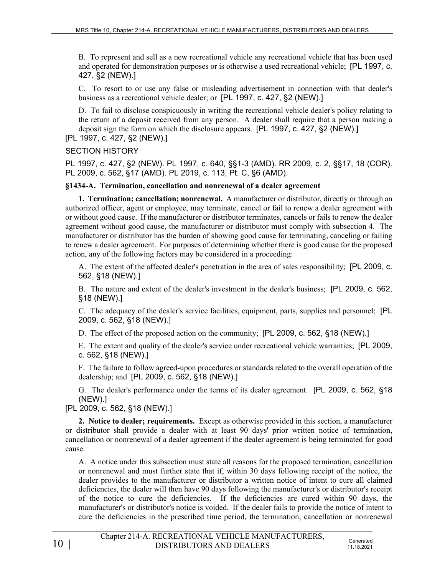B. To represent and sell as a new recreational vehicle any recreational vehicle that has been used and operated for demonstration purposes or is otherwise a used recreational vehicle; [PL 1997, c. 427, §2 (NEW).]

C. To resort to or use any false or misleading advertisement in connection with that dealer's business as a recreational vehicle dealer; or [PL 1997, c. 427, §2 (NEW).]

D. To fail to disclose conspicuously in writing the recreational vehicle dealer's policy relating to the return of a deposit received from any person. A dealer shall require that a person making a deposit sign the form on which the disclosure appears. [PL 1997, c. 427, §2 (NEW).]

### [PL 1997, c. 427, §2 (NEW).]

### SECTION HISTORY

PL 1997, c. 427, §2 (NEW). PL 1997, c. 640, §§1-3 (AMD). RR 2009, c. 2, §§17, 18 (COR). PL 2009, c. 562, §17 (AMD). PL 2019, c. 113, Pt. C, §6 (AMD).

### **§1434-A. Termination, cancellation and nonrenewal of a dealer agreement**

**1. Termination; cancellation; nonrenewal.** A manufacturer or distributor, directly or through an authorized officer, agent or employee, may terminate, cancel or fail to renew a dealer agreement with or without good cause. If the manufacturer or distributor terminates, cancels or fails to renew the dealer agreement without good cause, the manufacturer or distributor must comply with subsection 4. The manufacturer or distributor has the burden of showing good cause for terminating, canceling or failing to renew a dealer agreement. For purposes of determining whether there is good cause for the proposed action, any of the following factors may be considered in a proceeding:

A. The extent of the affected dealer's penetration in the area of sales responsibility; [PL 2009, c. 562, §18 (NEW).]

B. The nature and extent of the dealer's investment in the dealer's business; [PL 2009, c. 562, §18 (NEW).]

C. The adequacy of the dealer's service facilities, equipment, parts, supplies and personnel; [PL 2009, c. 562, §18 (NEW).]

D. The effect of the proposed action on the community; [PL 2009, c. 562, §18 (NEW).]

E. The extent and quality of the dealer's service under recreational vehicle warranties; [PL 2009, c. 562, §18 (NEW).]

F. The failure to follow agreed-upon procedures or standards related to the overall operation of the dealership; and [PL 2009, c. 562, §18 (NEW).]

G. The dealer's performance under the terms of its dealer agreement. [PL 2009, c. 562, §18 (NEW).]

[PL 2009, c. 562, §18 (NEW).]

**2. Notice to dealer; requirements.** Except as otherwise provided in this section, a manufacturer or distributor shall provide a dealer with at least 90 days' prior written notice of termination, cancellation or nonrenewal of a dealer agreement if the dealer agreement is being terminated for good cause.

A. A notice under this subsection must state all reasons for the proposed termination, cancellation or nonrenewal and must further state that if, within 30 days following receipt of the notice, the dealer provides to the manufacturer or distributor a written notice of intent to cure all claimed deficiencies, the dealer will then have 90 days following the manufacturer's or distributor's receipt of the notice to cure the deficiencies. If the deficiencies are cured within 90 days, the manufacturer's or distributor's notice is voided. If the dealer fails to provide the notice of intent to cure the deficiencies in the prescribed time period, the termination, cancellation or nonrenewal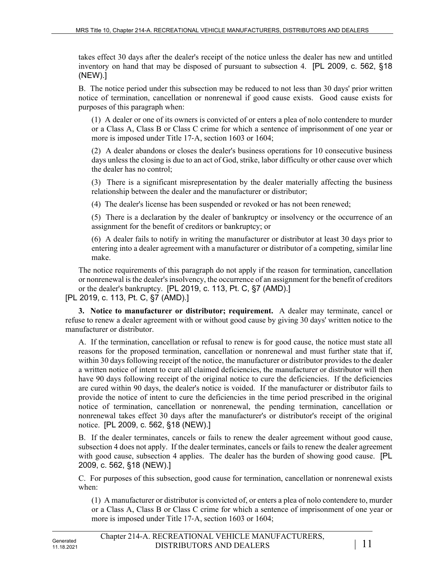takes effect 30 days after the dealer's receipt of the notice unless the dealer has new and untitled inventory on hand that may be disposed of pursuant to subsection 4. [PL 2009, c. 562, §18 (NEW).]

B. The notice period under this subsection may be reduced to not less than 30 days' prior written notice of termination, cancellation or nonrenewal if good cause exists. Good cause exists for purposes of this paragraph when:

(1) A dealer or one of its owners is convicted of or enters a plea of nolo contendere to murder or a Class A, Class B or Class C crime for which a sentence of imprisonment of one year or more is imposed under Title 17‑A, section 1603 or 1604;

(2) A dealer abandons or closes the dealer's business operations for 10 consecutive business days unless the closing is due to an act of God, strike, labor difficulty or other cause over which the dealer has no control;

(3) There is a significant misrepresentation by the dealer materially affecting the business relationship between the dealer and the manufacturer or distributor;

(4) The dealer's license has been suspended or revoked or has not been renewed;

(5) There is a declaration by the dealer of bankruptcy or insolvency or the occurrence of an assignment for the benefit of creditors or bankruptcy; or

(6) A dealer fails to notify in writing the manufacturer or distributor at least 30 days prior to entering into a dealer agreement with a manufacturer or distributor of a competing, similar line make.

The notice requirements of this paragraph do not apply if the reason for termination, cancellation or nonrenewal is the dealer's insolvency, the occurrence of an assignment for the benefit of creditors or the dealer's bankruptcy. [PL 2019, c. 113, Pt. C, §7 (AMD).]

[PL 2019, c. 113, Pt. C, §7 (AMD).]

**3. Notice to manufacturer or distributor; requirement.** A dealer may terminate, cancel or refuse to renew a dealer agreement with or without good cause by giving 30 days' written notice to the manufacturer or distributor.

A. If the termination, cancellation or refusal to renew is for good cause, the notice must state all reasons for the proposed termination, cancellation or nonrenewal and must further state that if, within 30 days following receipt of the notice, the manufacturer or distributor provides to the dealer a written notice of intent to cure all claimed deficiencies, the manufacturer or distributor will then have 90 days following receipt of the original notice to cure the deficiencies. If the deficiencies are cured within 90 days, the dealer's notice is voided. If the manufacturer or distributor fails to provide the notice of intent to cure the deficiencies in the time period prescribed in the original notice of termination, cancellation or nonrenewal, the pending termination, cancellation or nonrenewal takes effect 30 days after the manufacturer's or distributor's receipt of the original notice. [PL 2009, c. 562, §18 (NEW).]

B. If the dealer terminates, cancels or fails to renew the dealer agreement without good cause, subsection 4 does not apply. If the dealer terminates, cancels or fails to renew the dealer agreement with good cause, subsection 4 applies. The dealer has the burden of showing good cause. [PL 2009, c. 562, §18 (NEW).]

C. For purposes of this subsection, good cause for termination, cancellation or nonrenewal exists when:

(1) A manufacturer or distributor is convicted of, or enters a plea of nolo contendere to, murder or a Class A, Class B or Class C crime for which a sentence of imprisonment of one year or more is imposed under Title 17‑A, section 1603 or 1604;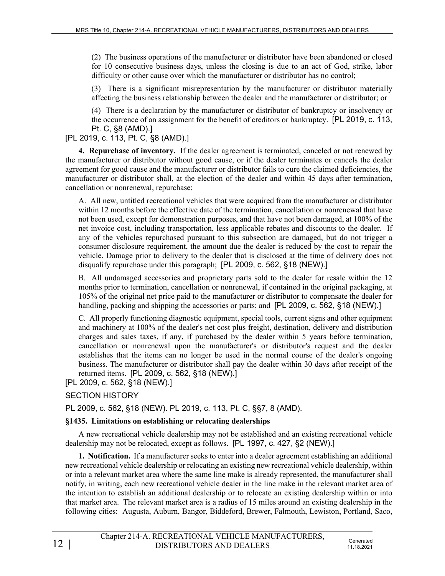(2) The business operations of the manufacturer or distributor have been abandoned or closed for 10 consecutive business days, unless the closing is due to an act of God, strike, labor difficulty or other cause over which the manufacturer or distributor has no control;

(3) There is a significant misrepresentation by the manufacturer or distributor materially affecting the business relationship between the dealer and the manufacturer or distributor; or

(4) There is a declaration by the manufacturer or distributor of bankruptcy or insolvency or the occurrence of an assignment for the benefit of creditors or bankruptcy. [PL 2019, c. 113, Pt. C, §8 (AMD).]

## [PL 2019, c. 113, Pt. C, §8 (AMD).]

**4. Repurchase of inventory.** If the dealer agreement is terminated, canceled or not renewed by the manufacturer or distributor without good cause, or if the dealer terminates or cancels the dealer agreement for good cause and the manufacturer or distributor fails to cure the claimed deficiencies, the manufacturer or distributor shall, at the election of the dealer and within 45 days after termination, cancellation or nonrenewal, repurchase:

A. All new, untitled recreational vehicles that were acquired from the manufacturer or distributor within 12 months before the effective date of the termination, cancellation or nonrenewal that have not been used, except for demonstration purposes, and that have not been damaged, at 100% of the net invoice cost, including transportation, less applicable rebates and discounts to the dealer. If any of the vehicles repurchased pursuant to this subsection are damaged, but do not trigger a consumer disclosure requirement, the amount due the dealer is reduced by the cost to repair the vehicle. Damage prior to delivery to the dealer that is disclosed at the time of delivery does not disqualify repurchase under this paragraph; [PL 2009, c. 562, §18 (NEW).]

B. All undamaged accessories and proprietary parts sold to the dealer for resale within the 12 months prior to termination, cancellation or nonrenewal, if contained in the original packaging, at 105% of the original net price paid to the manufacturer or distributor to compensate the dealer for handling, packing and shipping the accessories or parts; and [PL 2009, c. 562, §18 (NEW).]

C. All properly functioning diagnostic equipment, special tools, current signs and other equipment and machinery at 100% of the dealer's net cost plus freight, destination, delivery and distribution charges and sales taxes, if any, if purchased by the dealer within 5 years before termination, cancellation or nonrenewal upon the manufacturer's or distributor's request and the dealer establishes that the items can no longer be used in the normal course of the dealer's ongoing business. The manufacturer or distributor shall pay the dealer within 30 days after receipt of the returned items. [PL 2009, c. 562, §18 (NEW).]

[PL 2009, c. 562, §18 (NEW).]

## SECTION HISTORY

PL 2009, c. 562, §18 (NEW). PL 2019, c. 113, Pt. C, §§7, 8 (AMD).

## **§1435. Limitations on establishing or relocating dealerships**

A new recreational vehicle dealership may not be established and an existing recreational vehicle dealership may not be relocated, except as follows. [PL 1997, c. 427, §2 (NEW).]

**1. Notification.** If a manufacturer seeks to enter into a dealer agreement establishing an additional new recreational vehicle dealership or relocating an existing new recreational vehicle dealership, within or into a relevant market area where the same line make is already represented, the manufacturer shall notify, in writing, each new recreational vehicle dealer in the line make in the relevant market area of the intention to establish an additional dealership or to relocate an existing dealership within or into that market area. The relevant market area is a radius of 15 miles around an existing dealership in the following cities: Augusta, Auburn, Bangor, Biddeford, Brewer, Falmouth, Lewiston, Portland, Saco,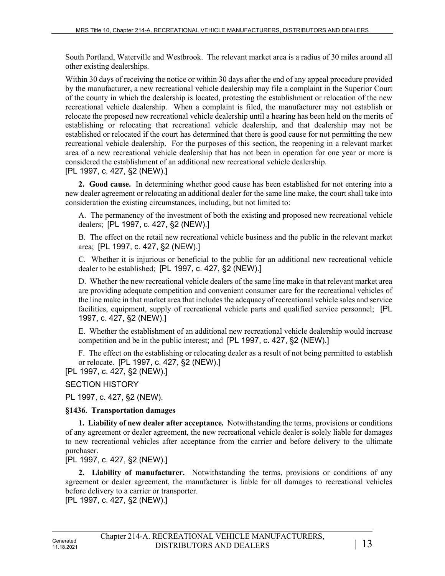South Portland, Waterville and Westbrook. The relevant market area is a radius of 30 miles around all other existing dealerships.

Within 30 days of receiving the notice or within 30 days after the end of any appeal procedure provided by the manufacturer, a new recreational vehicle dealership may file a complaint in the Superior Court of the county in which the dealership is located, protesting the establishment or relocation of the new recreational vehicle dealership. When a complaint is filed, the manufacturer may not establish or relocate the proposed new recreational vehicle dealership until a hearing has been held on the merits of establishing or relocating that recreational vehicle dealership, and that dealership may not be established or relocated if the court has determined that there is good cause for not permitting the new recreational vehicle dealership. For the purposes of this section, the reopening in a relevant market area of a new recreational vehicle dealership that has not been in operation for one year or more is considered the establishment of an additional new recreational vehicle dealership. [PL 1997, c. 427, §2 (NEW).]

**2. Good cause.** In determining whether good cause has been established for not entering into a new dealer agreement or relocating an additional dealer for the same line make, the court shall take into consideration the existing circumstances, including, but not limited to:

A. The permanency of the investment of both the existing and proposed new recreational vehicle dealers; [PL 1997, c. 427, §2 (NEW).]

B. The effect on the retail new recreational vehicle business and the public in the relevant market area; [PL 1997, c. 427, §2 (NEW).]

C. Whether it is injurious or beneficial to the public for an additional new recreational vehicle dealer to be established; [PL 1997, c. 427, §2 (NEW).]

D. Whether the new recreational vehicle dealers of the same line make in that relevant market area are providing adequate competition and convenient consumer care for the recreational vehicles of the line make in that market area that includes the adequacy of recreational vehicle sales and service facilities, equipment, supply of recreational vehicle parts and qualified service personnel; [PL 1997, c. 427, §2 (NEW).]

E. Whether the establishment of an additional new recreational vehicle dealership would increase competition and be in the public interest; and [PL 1997, c. 427, §2 (NEW).]

F. The effect on the establishing or relocating dealer as a result of not being permitted to establish or relocate. [PL 1997, c. 427, §2 (NEW).]

[PL 1997, c. 427, §2 (NEW).]

SECTION HISTORY

PL 1997, c. 427, §2 (NEW).

## **§1436. Transportation damages**

**1. Liability of new dealer after acceptance.** Notwithstanding the terms, provisions or conditions of any agreement or dealer agreement, the new recreational vehicle dealer is solely liable for damages to new recreational vehicles after acceptance from the carrier and before delivery to the ultimate purchaser.

[PL 1997, c. 427, §2 (NEW).]

**2. Liability of manufacturer.** Notwithstanding the terms, provisions or conditions of any agreement or dealer agreement, the manufacturer is liable for all damages to recreational vehicles before delivery to a carrier or transporter.

[PL 1997, c. 427, §2 (NEW).]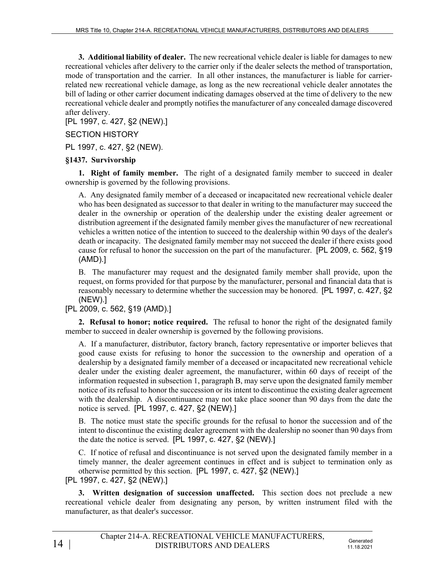**3. Additional liability of dealer.** The new recreational vehicle dealer is liable for damages to new recreational vehicles after delivery to the carrier only if the dealer selects the method of transportation, mode of transportation and the carrier. In all other instances, the manufacturer is liable for carrierrelated new recreational vehicle damage, as long as the new recreational vehicle dealer annotates the bill of lading or other carrier document indicating damages observed at the time of delivery to the new recreational vehicle dealer and promptly notifies the manufacturer of any concealed damage discovered after delivery.

[PL 1997, c. 427, §2 (NEW).]

### SECTION HISTORY

PL 1997, c. 427, §2 (NEW).

### **§1437. Survivorship**

**1. Right of family member.** The right of a designated family member to succeed in dealer ownership is governed by the following provisions.

A. Any designated family member of a deceased or incapacitated new recreational vehicle dealer who has been designated as successor to that dealer in writing to the manufacturer may succeed the dealer in the ownership or operation of the dealership under the existing dealer agreement or distribution agreement if the designated family member gives the manufacturer of new recreational vehicles a written notice of the intention to succeed to the dealership within 90 days of the dealer's death or incapacity. The designated family member may not succeed the dealer if there exists good cause for refusal to honor the succession on the part of the manufacturer. [PL 2009, c. 562, §19 (AMD).]

B. The manufacturer may request and the designated family member shall provide, upon the request, on forms provided for that purpose by the manufacturer, personal and financial data that is reasonably necessary to determine whether the succession may be honored. [PL 1997, c. 427, §2 (NEW).]

[PL 2009, c. 562, §19 (AMD).]

**2. Refusal to honor; notice required.** The refusal to honor the right of the designated family member to succeed in dealer ownership is governed by the following provisions.

A. If a manufacturer, distributor, factory branch, factory representative or importer believes that good cause exists for refusing to honor the succession to the ownership and operation of a dealership by a designated family member of a deceased or incapacitated new recreational vehicle dealer under the existing dealer agreement, the manufacturer, within 60 days of receipt of the information requested in subsection 1, paragraph B, may serve upon the designated family member notice of its refusal to honor the succession or its intent to discontinue the existing dealer agreement with the dealership. A discontinuance may not take place sooner than 90 days from the date the notice is served. [PL 1997, c. 427, §2 (NEW).]

B. The notice must state the specific grounds for the refusal to honor the succession and of the intent to discontinue the existing dealer agreement with the dealership no sooner than 90 days from the date the notice is served. [PL 1997, c. 427, §2 (NEW).]

C. If notice of refusal and discontinuance is not served upon the designated family member in a timely manner, the dealer agreement continues in effect and is subject to termination only as otherwise permitted by this section. [PL 1997, c. 427, §2 (NEW).]

[PL 1997, c. 427, §2 (NEW).]

**3. Written designation of succession unaffected.** This section does not preclude a new recreational vehicle dealer from designating any person, by written instrument filed with the manufacturer, as that dealer's successor.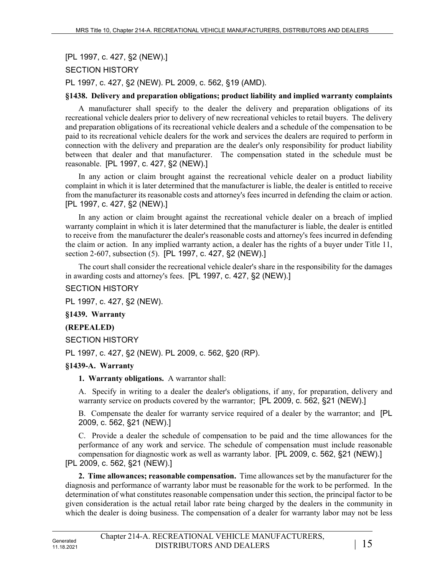# [PL 1997, c. 427, §2 (NEW).]

### SECTION HISTORY

PL 1997, c. 427, §2 (NEW). PL 2009, c. 562, §19 (AMD).

### **§1438. Delivery and preparation obligations; product liability and implied warranty complaints**

A manufacturer shall specify to the dealer the delivery and preparation obligations of its recreational vehicle dealers prior to delivery of new recreational vehicles to retail buyers. The delivery and preparation obligations of its recreational vehicle dealers and a schedule of the compensation to be paid to its recreational vehicle dealers for the work and services the dealers are required to perform in connection with the delivery and preparation are the dealer's only responsibility for product liability between that dealer and that manufacturer. The compensation stated in the schedule must be reasonable. [PL 1997, c. 427, §2 (NEW).]

In any action or claim brought against the recreational vehicle dealer on a product liability complaint in which it is later determined that the manufacturer is liable, the dealer is entitled to receive from the manufacturer its reasonable costs and attorney's fees incurred in defending the claim or action. [PL 1997, c. 427, §2 (NEW).]

In any action or claim brought against the recreational vehicle dealer on a breach of implied warranty complaint in which it is later determined that the manufacturer is liable, the dealer is entitled to receive from the manufacturer the dealer's reasonable costs and attorney's fees incurred in defending the claim or action. In any implied warranty action, a dealer has the rights of a buyer under Title 11, section 2-607, subsection (5). [PL 1997, c. 427, §2 (NEW).]

The court shall consider the recreational vehicle dealer's share in the responsibility for the damages in awarding costs and attorney's fees. [PL 1997, c. 427, §2 (NEW).]

#### SECTION HISTORY

PL 1997, c. 427, §2 (NEW).

**§1439. Warranty**

#### **(REPEALED)**

SECTION HISTORY

PL 1997, c. 427, §2 (NEW). PL 2009, c. 562, §20 (RP).

#### **§1439-A. Warranty**

#### **1. Warranty obligations.** A warrantor shall:

A. Specify in writing to a dealer the dealer's obligations, if any, for preparation, delivery and warranty service on products covered by the warrantor; [PL 2009, c. 562, §21 (NEW).]

B. Compensate the dealer for warranty service required of a dealer by the warrantor; and [PL 2009, c. 562, §21 (NEW).]

C. Provide a dealer the schedule of compensation to be paid and the time allowances for the performance of any work and service. The schedule of compensation must include reasonable compensation for diagnostic work as well as warranty labor. [PL 2009, c. 562, §21 (NEW).] [PL 2009, c. 562, §21 (NEW).]

**2. Time allowances; reasonable compensation.** Time allowances set by the manufacturer for the diagnosis and performance of warranty labor must be reasonable for the work to be performed. In the determination of what constitutes reasonable compensation under this section, the principal factor to be given consideration is the actual retail labor rate being charged by the dealers in the community in which the dealer is doing business. The compensation of a dealer for warranty labor may not be less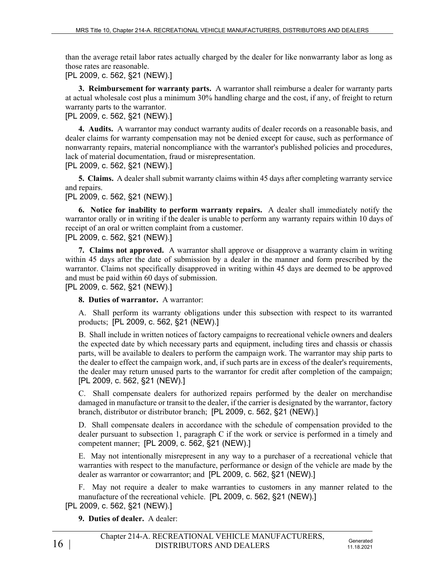than the average retail labor rates actually charged by the dealer for like nonwarranty labor as long as those rates are reasonable.

[PL 2009, c. 562, §21 (NEW).]

**3. Reimbursement for warranty parts.** A warrantor shall reimburse a dealer for warranty parts at actual wholesale cost plus a minimum 30% handling charge and the cost, if any, of freight to return warranty parts to the warrantor.

[PL 2009, c. 562, §21 (NEW).]

**4. Audits.** A warrantor may conduct warranty audits of dealer records on a reasonable basis, and dealer claims for warranty compensation may not be denied except for cause, such as performance of nonwarranty repairs, material noncompliance with the warrantor's published policies and procedures, lack of material documentation, fraud or misrepresentation.

[PL 2009, c. 562, §21 (NEW).]

**5. Claims.** A dealer shall submit warranty claims within 45 days after completing warranty service and repairs.

[PL 2009, c. 562, §21 (NEW).]

**6. Notice for inability to perform warranty repairs.** A dealer shall immediately notify the warrantor orally or in writing if the dealer is unable to perform any warranty repairs within 10 days of receipt of an oral or written complaint from a customer.

[PL 2009, c. 562, §21 (NEW).]

**7. Claims not approved.** A warrantor shall approve or disapprove a warranty claim in writing within 45 days after the date of submission by a dealer in the manner and form prescribed by the warrantor. Claims not specifically disapproved in writing within 45 days are deemed to be approved and must be paid within 60 days of submission.

[PL 2009, c. 562, §21 (NEW).]

**8. Duties of warrantor.** A warrantor:

A. Shall perform its warranty obligations under this subsection with respect to its warranted products; [PL 2009, c. 562, §21 (NEW).]

B. Shall include in written notices of factory campaigns to recreational vehicle owners and dealers the expected date by which necessary parts and equipment, including tires and chassis or chassis parts, will be available to dealers to perform the campaign work. The warrantor may ship parts to the dealer to effect the campaign work, and, if such parts are in excess of the dealer's requirements, the dealer may return unused parts to the warrantor for credit after completion of the campaign; [PL 2009, c. 562, §21 (NEW).]

C. Shall compensate dealers for authorized repairs performed by the dealer on merchandise damaged in manufacture or transit to the dealer, if the carrier is designated by the warrantor, factory branch, distributor or distributor branch; [PL 2009, c. 562, §21 (NEW).]

D. Shall compensate dealers in accordance with the schedule of compensation provided to the dealer pursuant to subsection 1, paragraph C if the work or service is performed in a timely and competent manner; [PL 2009, c. 562, §21 (NEW).]

E. May not intentionally misrepresent in any way to a purchaser of a recreational vehicle that warranties with respect to the manufacture, performance or design of the vehicle are made by the dealer as warrantor or cowarrantor; and [PL 2009, c. 562, §21 (NEW).]

F. May not require a dealer to make warranties to customers in any manner related to the manufacture of the recreational vehicle. [PL 2009, c. 562, §21 (NEW).] [PL 2009, c. 562, §21 (NEW).]

**9. Duties of dealer.** A dealer: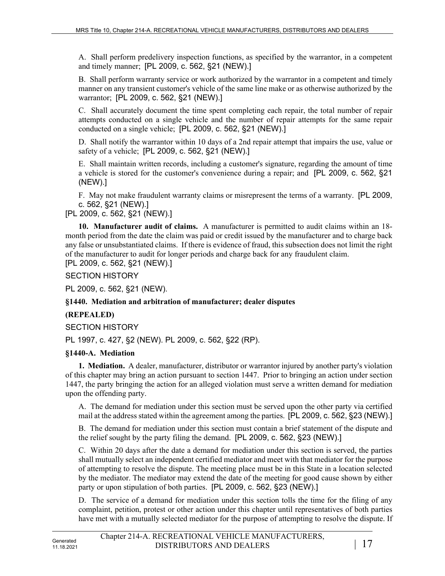A. Shall perform predelivery inspection functions, as specified by the warrantor, in a competent and timely manner; [PL 2009, c. 562, §21 (NEW).]

B. Shall perform warranty service or work authorized by the warrantor in a competent and timely manner on any transient customer's vehicle of the same line make or as otherwise authorized by the warrantor; [PL 2009, c. 562, §21 (NEW).]

C. Shall accurately document the time spent completing each repair, the total number of repair attempts conducted on a single vehicle and the number of repair attempts for the same repair conducted on a single vehicle; [PL 2009, c. 562, §21 (NEW).]

D. Shall notify the warrantor within 10 days of a 2nd repair attempt that impairs the use, value or safety of a vehicle; [PL 2009, c. 562, §21 (NEW).]

E. Shall maintain written records, including a customer's signature, regarding the amount of time a vehicle is stored for the customer's convenience during a repair; and [PL 2009, c. 562, §21 (NEW).]

F. May not make fraudulent warranty claims or misrepresent the terms of a warranty. [PL 2009, c. 562, §21 (NEW).]

[PL 2009, c. 562, §21 (NEW).]

**10. Manufacturer audit of claims.** A manufacturer is permitted to audit claims within an 18 month period from the date the claim was paid or credit issued by the manufacturer and to charge back any false or unsubstantiated claims. If there is evidence of fraud, this subsection does not limit the right of the manufacturer to audit for longer periods and charge back for any fraudulent claim. [PL 2009, c. 562, §21 (NEW).]

SECTION HISTORY

PL 2009, c. 562, §21 (NEW).

## **§1440. Mediation and arbitration of manufacturer; dealer disputes**

## **(REPEALED)**

SECTION HISTORY

PL 1997, c. 427, §2 (NEW). PL 2009, c. 562, §22 (RP).

## **§1440-A. Mediation**

**1. Mediation.** A dealer, manufacturer, distributor or warrantor injured by another party's violation of this chapter may bring an action pursuant to section 1447. Prior to bringing an action under section 1447, the party bringing the action for an alleged violation must serve a written demand for mediation upon the offending party.

A. The demand for mediation under this section must be served upon the other party via certified mail at the address stated within the agreement among the parties. [PL 2009, c. 562, §23 (NEW).]

B. The demand for mediation under this section must contain a brief statement of the dispute and the relief sought by the party filing the demand. [PL 2009, c. 562, §23 (NEW).]

C. Within 20 days after the date a demand for mediation under this section is served, the parties shall mutually select an independent certified mediator and meet with that mediator for the purpose of attempting to resolve the dispute. The meeting place must be in this State in a location selected by the mediator. The mediator may extend the date of the meeting for good cause shown by either party or upon stipulation of both parties. [PL 2009, c. 562, §23 (NEW).]

D. The service of a demand for mediation under this section tolls the time for the filing of any complaint, petition, protest or other action under this chapter until representatives of both parties have met with a mutually selected mediator for the purpose of attempting to resolve the dispute. If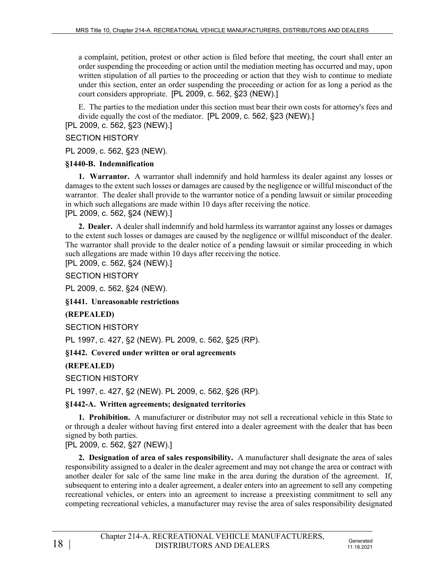a complaint, petition, protest or other action is filed before that meeting, the court shall enter an order suspending the proceeding or action until the mediation meeting has occurred and may, upon written stipulation of all parties to the proceeding or action that they wish to continue to mediate under this section, enter an order suspending the proceeding or action for as long a period as the court considers appropriate. [PL 2009, c. 562, §23 (NEW).]

E. The parties to the mediation under this section must bear their own costs for attorney's fees and divide equally the cost of the mediator. [PL 2009, c. 562, §23 (NEW).]

[PL 2009, c. 562, §23 (NEW).]

### SECTION HISTORY

PL 2009, c. 562, §23 (NEW).

### **§1440-B. Indemnification**

**1. Warrantor.** A warrantor shall indemnify and hold harmless its dealer against any losses or damages to the extent such losses or damages are caused by the negligence or willful misconduct of the warrantor. The dealer shall provide to the warrantor notice of a pending lawsuit or similar proceeding in which such allegations are made within 10 days after receiving the notice. [PL 2009, c. 562, §24 (NEW).]

**2. Dealer.** A dealer shall indemnify and hold harmless its warrantor against any losses or damages to the extent such losses or damages are caused by the negligence or willful misconduct of the dealer. The warrantor shall provide to the dealer notice of a pending lawsuit or similar proceeding in which such allegations are made within 10 days after receiving the notice.

[PL 2009, c. 562, §24 (NEW).]

SECTION HISTORY

PL 2009, c. 562, §24 (NEW).

**§1441. Unreasonable restrictions**

**(REPEALED)**

SECTION HISTORY

PL 1997, c. 427, §2 (NEW). PL 2009, c. 562, §25 (RP).

**§1442. Covered under written or oral agreements**

**(REPEALED)**

SECTION HISTORY

PL 1997, c. 427, §2 (NEW). PL 2009, c. 562, §26 (RP).

**§1442-A. Written agreements; designated territories**

**1. Prohibition.** A manufacturer or distributor may not sell a recreational vehicle in this State to or through a dealer without having first entered into a dealer agreement with the dealer that has been signed by both parties.

[PL 2009, c. 562, §27 (NEW).]

**2. Designation of area of sales responsibility.** A manufacturer shall designate the area of sales responsibility assigned to a dealer in the dealer agreement and may not change the area or contract with another dealer for sale of the same line make in the area during the duration of the agreement. If, subsequent to entering into a dealer agreement, a dealer enters into an agreement to sell any competing recreational vehicles, or enters into an agreement to increase a preexisting commitment to sell any competing recreational vehicles, a manufacturer may revise the area of sales responsibility designated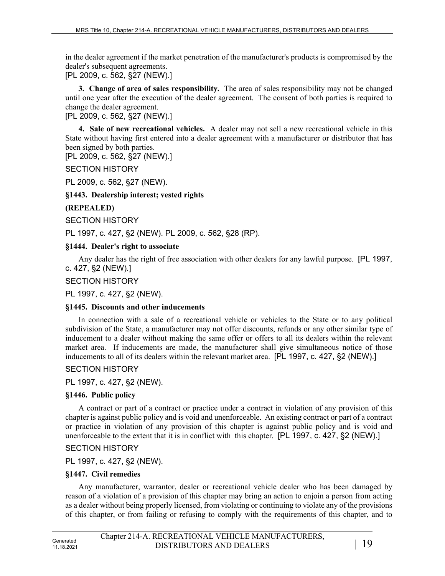in the dealer agreement if the market penetration of the manufacturer's products is compromised by the dealer's subsequent agreements.

[PL 2009, c. 562, §27 (NEW).]

**3. Change of area of sales responsibility.** The area of sales responsibility may not be changed until one year after the execution of the dealer agreement. The consent of both parties is required to change the dealer agreement.

[PL 2009, c. 562, §27 (NEW).]

**4. Sale of new recreational vehicles.** A dealer may not sell a new recreational vehicle in this State without having first entered into a dealer agreement with a manufacturer or distributor that has been signed by both parties.

[PL 2009, c. 562, §27 (NEW).]

SECTION HISTORY

PL 2009, c. 562, §27 (NEW).

**§1443. Dealership interest; vested rights**

#### **(REPEALED)**

SECTION HISTORY

PL 1997, c. 427, §2 (NEW). PL 2009, c. 562, §28 (RP).

**§1444. Dealer's right to associate**

Any dealer has the right of free association with other dealers for any lawful purpose. [PL 1997, c. 427, §2 (NEW).]

### SECTION HISTORY

PL 1997, c. 427, §2 (NEW).

#### **§1445. Discounts and other inducements**

In connection with a sale of a recreational vehicle or vehicles to the State or to any political subdivision of the State, a manufacturer may not offer discounts, refunds or any other similar type of inducement to a dealer without making the same offer or offers to all its dealers within the relevant market area. If inducements are made, the manufacturer shall give simultaneous notice of those inducements to all of its dealers within the relevant market area. [PL 1997, c. 427, §2 (NEW).]

#### SECTION HISTORY

PL 1997, c. 427, §2 (NEW).

## **§1446. Public policy**

A contract or part of a contract or practice under a contract in violation of any provision of this chapter is against public policy and is void and unenforceable. An existing contract or part of a contract or practice in violation of any provision of this chapter is against public policy and is void and unenforceable to the extent that it is in conflict with this chapter. [PL 1997, c. 427, §2 (NEW).]

## SECTION HISTORY

PL 1997, c. 427, §2 (NEW).

#### **§1447. Civil remedies**

Any manufacturer, warrantor, dealer or recreational vehicle dealer who has been damaged by reason of a violation of a provision of this chapter may bring an action to enjoin a person from acting as a dealer without being properly licensed, from violating or continuing to violate any of the provisions of this chapter, or from failing or refusing to comply with the requirements of this chapter, and to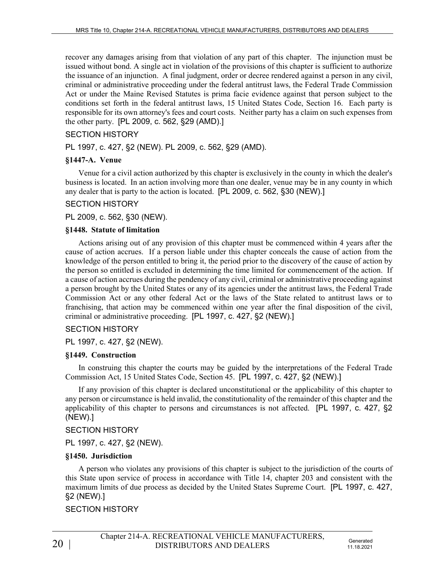recover any damages arising from that violation of any part of this chapter. The injunction must be issued without bond. A single act in violation of the provisions of this chapter is sufficient to authorize the issuance of an injunction. A final judgment, order or decree rendered against a person in any civil, criminal or administrative proceeding under the federal antitrust laws, the Federal Trade Commission Act or under the Maine Revised Statutes is prima facie evidence against that person subject to the conditions set forth in the federal antitrust laws, 15 United States Code, Section 16. Each party is responsible for its own attorney's fees and court costs. Neither party has a claim on such expenses from the other party. [PL 2009, c. 562, §29 (AMD).]

## SECTION HISTORY

PL 1997, c. 427, §2 (NEW). PL 2009, c. 562, §29 (AMD).

### **§1447-A. Venue**

Venue for a civil action authorized by this chapter is exclusively in the county in which the dealer's business is located. In an action involving more than one dealer, venue may be in any county in which any dealer that is party to the action is located. [PL 2009, c. 562, §30 (NEW).]

### SECTION HISTORY

PL 2009, c. 562, §30 (NEW).

#### **§1448. Statute of limitation**

Actions arising out of any provision of this chapter must be commenced within 4 years after the cause of action accrues. If a person liable under this chapter conceals the cause of action from the knowledge of the person entitled to bring it, the period prior to the discovery of the cause of action by the person so entitled is excluded in determining the time limited for commencement of the action. If a cause of action accrues during the pendency of any civil, criminal or administrative proceeding against a person brought by the United States or any of its agencies under the antitrust laws, the Federal Trade Commission Act or any other federal Act or the laws of the State related to antitrust laws or to franchising, that action may be commenced within one year after the final disposition of the civil, criminal or administrative proceeding. [PL 1997, c. 427, §2 (NEW).]

#### SECTION HISTORY

PL 1997, c. 427, §2 (NEW).

#### **§1449. Construction**

In construing this chapter the courts may be guided by the interpretations of the Federal Trade Commission Act, 15 United States Code, Section 45. [PL 1997, c. 427, §2 (NEW).]

If any provision of this chapter is declared unconstitutional or the applicability of this chapter to any person or circumstance is held invalid, the constitutionality of the remainder of this chapter and the applicability of this chapter to persons and circumstances is not affected. [PL 1997, c. 427, §2 (NEW).]

#### SECTION HISTORY

PL 1997, c. 427, §2 (NEW).

#### **§1450. Jurisdiction**

A person who violates any provisions of this chapter is subject to the jurisdiction of the courts of this State upon service of process in accordance with Title 14, chapter 203 and consistent with the maximum limits of due process as decided by the United States Supreme Court. [PL 1997, c. 427, §2 (NEW).]

## SECTION HISTORY